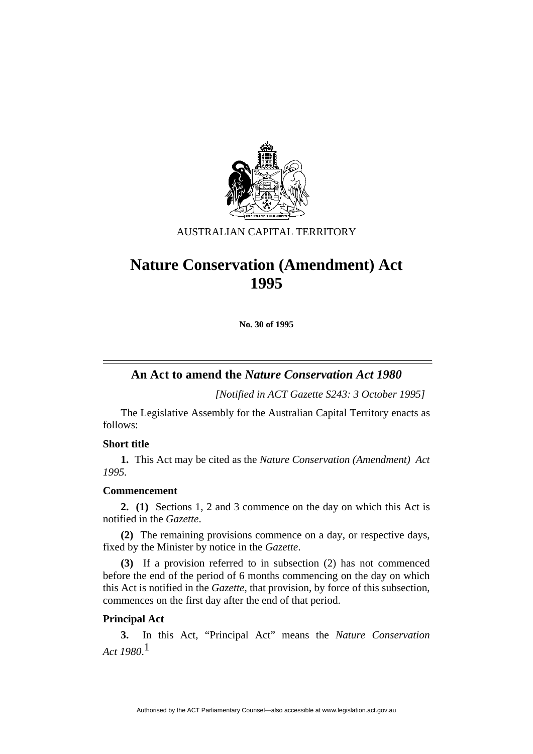

## AUSTRALIAN CAPITAL TERRITORY

# **Nature Conservation (Amendment) Act 1995**

**No. 30 of 1995** 

# **An Act to amend the** *Nature Conservation Act 1980*

*[Notified in ACT Gazette S243: 3 October 1995]*

 The Legislative Assembly for the Australian Capital Territory enacts as follows:

## **Short title**

**1.** This Act may be cited as the *Nature Conservation (Amendment) Act 1995.*

### **Commencement**

**2. (1)** Sections 1, 2 and 3 commence on the day on which this Act is notified in the *Gazette*.

**(2)** The remaining provisions commence on a day, or respective days, fixed by the Minister by notice in the *Gazette*.

**(3)** If a provision referred to in subsection (2) has not commenced before the end of the period of 6 months commencing on the day on which this Act is notified in the *Gazette*, that provision, by force of this subsection, commences on the first day after the end of that period.

## **Principal Act**

**3.** In this Act, "Principal Act" means the *Nature Conservation Act 1980*. 1